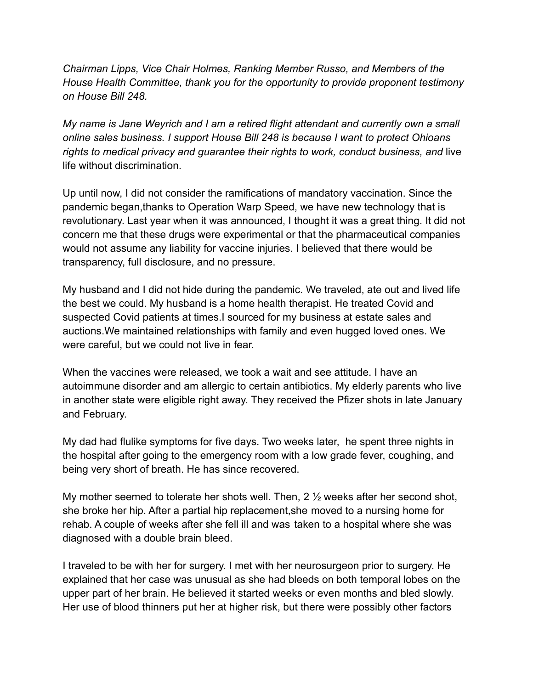*Chairman Lipps, Vice Chair Holmes, Ranking Member Russo, and Members of the House Health Committee, thank you for the opportunity to provide proponent testimony on House Bill 248.*

*My name is Jane Weyrich and I am a retired flight attendant and currently own a small online sales business. I support House Bill 248 is because I want to protect Ohioans rights to medical privacy and guarantee their rights to work, conduct business, and* live life without discrimination.

Up until now, I did not consider the ramifications of mandatory vaccination. Since the pandemic began,thanks to Operation Warp Speed, we have new technology that is revolutionary. Last year when it was announced, I thought it was a great thing. It did not concern me that these drugs were experimental or that the pharmaceutical companies would not assume any liability for vaccine injuries. I believed that there would be transparency, full disclosure, and no pressure.

My husband and I did not hide during the pandemic. We traveled, ate out and lived life the best we could. My husband is a home health therapist. He treated Covid and suspected Covid patients at times.I sourced for my business at estate sales and auctions.We maintained relationships with family and even hugged loved ones. We were careful, but we could not live in fear.

When the vaccines were released, we took a wait and see attitude. I have an autoimmune disorder and am allergic to certain antibiotics. My elderly parents who live in another state were eligible right away. They received the Pfizer shots in late January and February.

My dad had flulike symptoms for five days. Two weeks later, he spent three nights in the hospital after going to the emergency room with a low grade fever, coughing, and being very short of breath. He has since recovered.

My mother seemed to tolerate her shots well. Then, 2 ½ weeks after her second shot, she broke her hip. After a partial hip replacement,she moved to a nursing home for rehab. A couple of weeks after she fell ill and was taken to a hospital where she was diagnosed with a double brain bleed.

I traveled to be with her for surgery. I met with her neurosurgeon prior to surgery. He explained that her case was unusual as she had bleeds on both temporal lobes on the upper part of her brain. He believed it started weeks or even months and bled slowly. Her use of blood thinners put her at higher risk, but there were possibly other factors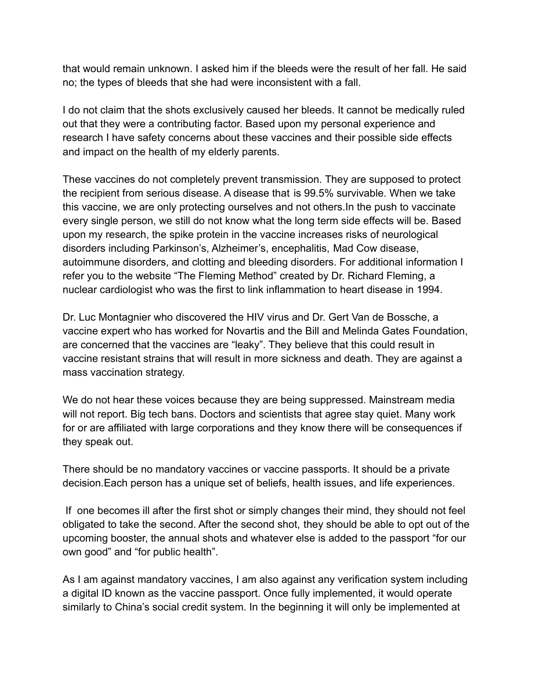that would remain unknown. I asked him if the bleeds were the result of her fall. He said no; the types of bleeds that she had were inconsistent with a fall.

I do not claim that the shots exclusively caused her bleeds. It cannot be medically ruled out that they were a contributing factor. Based upon my personal experience and research I have safety concerns about these vaccines and their possible side effects and impact on the health of my elderly parents.

These vaccines do not completely prevent transmission. They are supposed to protect the recipient from serious disease. A disease that is 99.5% survivable. When we take this vaccine, we are only protecting ourselves and not others.In the push to vaccinate every single person, we still do not know what the long term side effects will be. Based upon my research, the spike protein in the vaccine increases risks of neurological disorders including Parkinson's, Alzheimer's, encephalitis, Mad Cow disease, autoimmune disorders, and clotting and bleeding disorders. For additional information I refer you to the website "The Fleming Method" created by Dr. Richard Fleming, a nuclear cardiologist who was the first to link inflammation to heart disease in 1994.

Dr. Luc Montagnier who discovered the HIV virus and Dr. Gert Van de Bossche, a vaccine expert who has worked for Novartis and the Bill and Melinda Gates Foundation, are concerned that the vaccines are "leaky". They believe that this could result in vaccine resistant strains that will result in more sickness and death. They are against a mass vaccination strategy.

We do not hear these voices because they are being suppressed. Mainstream media will not report. Big tech bans. Doctors and scientists that agree stay quiet. Many work for or are affiliated with large corporations and they know there will be consequences if they speak out.

There should be no mandatory vaccines or vaccine passports. It should be a private decision.Each person has a unique set of beliefs, health issues, and life experiences.

If one becomes ill after the first shot or simply changes their mind, they should not feel obligated to take the second. After the second shot, they should be able to opt out of the upcoming booster, the annual shots and whatever else is added to the passport "for our own good" and "for public health".

As I am against mandatory vaccines, I am also against any verification system including a digital ID known as the vaccine passport. Once fully implemented, it would operate similarly to China's social credit system. In the beginning it will only be implemented at